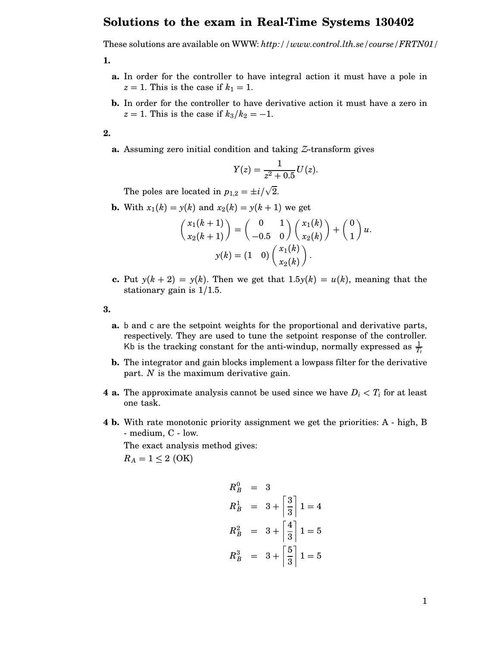## **Solutions to the exam in Real-Time Systems 130402**

These solutions are available on WWW: *http://www.control.lth.se/course/FRTN01/*

**1.**

- **a.** In order for the controller to have integral action it must have a pole in  $z = 1$ . This is the case if  $k_1 = 1$ .
- **b.** In order for the controller to have derivative action it must have a zero in  $z = 1$ . This is the case if  $k_3/k_2 = -1$ .

**2.**

**a.** Assuming zero initial condition and taking *Z*-transform gives

$$
Y(z) = \frac{1}{z^2 + 0.5}U(z).
$$

The poles are located in  $p_{1,2} = \pm i/2$ √ 2.

**b.** With  $x_1(k) = y(k)$  and  $x_2(k) = y(k+1)$  we get

$$
\begin{pmatrix} x_1(k+1) \\ x_2(k+1) \end{pmatrix} = \begin{pmatrix} 0 & 1 \\ -0.5 & 0 \end{pmatrix} \begin{pmatrix} x_1(k) \\ x_2(k) \end{pmatrix} + \begin{pmatrix} 0 \\ 1 \end{pmatrix} u.
$$

$$
y(k) = \begin{pmatrix} 1 & 0 \end{pmatrix} \begin{pmatrix} x_1(k) \\ x_2(k) \end{pmatrix}.
$$

**c.** Put  $y(k+2) = y(k)$ . Then we get that  $1.5y(k) = u(k)$ , meaning that the stationary gain is 1/1.5.

**3.**

- **a.** b and c are the setpoint weights for the proportional and derivative parts, respectively. They are used to tune the setpoint response of the controller. Kb is the tracking constant for the anti-windup, normally expressed as  $\frac{1}{T_t}$
- **b.** The integrator and gain blocks implement a lowpass filter for the derivative part. *N* is the maximum derivative gain.
- **4 a.** The approximate analysis cannot be used since we have  $D_i < T_i$  for at least one task.
- **4 b.** With rate monotonic priority assignment we get the priorities: A high, B - medium, C - low.

The exact analysis method gives:

 $R_A = 1 \leq 2$  (OK)

$$
R_B^0 = 3
$$
  
\n
$$
R_B^1 = 3 + \left[\frac{3}{3}\right]1 = 4
$$
  
\n
$$
R_B^2 = 3 + \left[\frac{4}{3}\right]1 = 5
$$
  
\n
$$
R_B^3 = 3 + \left[\frac{5}{3}\right]1 = 5
$$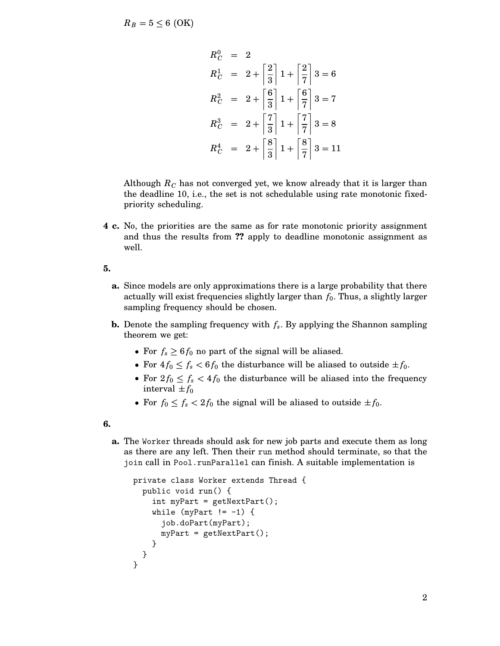$R_B = 5 \leq 6$  (OK)

$$
R_C^0 = 2
$$
  
\n
$$
R_C^1 = 2 + \left\lceil \frac{2}{3} \right\rceil 1 + \left\lceil \frac{2}{7} \right\rceil 3 = 6
$$
  
\n
$$
R_C^2 = 2 + \left\lceil \frac{6}{3} \right\rceil 1 + \left\lceil \frac{6}{7} \right\rceil 3 = 7
$$
  
\n
$$
R_C^3 = 2 + \left\lceil \frac{7}{3} \right\rceil 1 + \left\lceil \frac{7}{7} \right\rceil 3 = 8
$$
  
\n
$$
R_C^4 = 2 + \left\lceil \frac{8}{3} \right\rceil 1 + \left\lceil \frac{8}{7} \right\rceil 3 = 11
$$

Although  $R_C$  has not converged yet, we know already that it is larger than the deadline 10, i.e., the set is not schedulable using rate monotonic fixedpriority scheduling.

**4 c.** No, the priorities are the same as for rate monotonic priority assignment and thus the results from **??** apply to deadline monotonic assignment as well.

**5.**

- **a.** Since models are only approximations there is a large probability that there actually will exist frequencies slightly larger than *f*0. Thus, a slightly larger sampling frequency should be chosen.
- **b.** Denote the sampling frequency with  $f_s$ . By applying the Shannon sampling theorem we get:
	- For  $f_s \geq 6 f_0$  no part of the signal will be aliased.
	- For  $4f_0 \leq f_s < 6f_0$  the disturbance will be aliased to outside  $\pm f_0$ .
	- For  $2f_0 \leq f_s < 4f_0$  the disturbance will be aliased into the frequency interval  $\pm f_0$
	- For  $f_0 \le f_s < 2f_0$  the signal will be aliased to outside  $\pm f_0$ .

**6.**

**a.** The Worker threads should ask for new job parts and execute them as long as there are any left. Then their run method should terminate, so that the join call in Pool.runParallel can finish. A suitable implementation is

```
private class Worker extends Thread {
  public void run() {
    int myPart = getNextPart();
    while (myPart != -1) {
      job.doPart(myPart);
      myPart = getNextPart();
    }
  }
}
```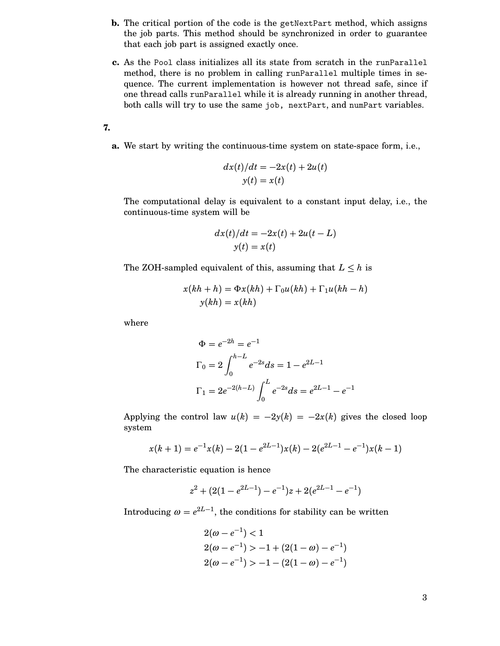- **b.** The critical portion of the code is the getNextPart method, which assigns the job parts. This method should be synchronized in order to guarantee that each job part is assigned exactly once.
- **c.** As the Pool class initializes all its state from scratch in the runParallel method, there is no problem in calling runParallel multiple times in sequence. The current implementation is however not thread safe, since if one thread calls runParallel while it is already running in another thread, both calls will try to use the same job, nextPart, and numPart variables.

**7.**

**a.** We start by writing the continuous-time system on state-space form, i.e.,

$$
dx(t)/dt = -2x(t) + 2u(t)
$$
  

$$
y(t) = x(t)
$$

The computational delay is equivalent to a constant input delay, i.e., the continuous-time system will be

$$
dx(t)/dt = -2x(t) + 2u(t - L)
$$
  

$$
y(t) = x(t)
$$

The ZOH-sampled equivalent of this, assuming that  $L \leq h$  is

$$
x(kh + h) = \Phi x(kh) + \Gamma_0 u(kh) + \Gamma_1 u(kh - h)
$$
  

$$
y(kh) = x(kh)
$$

where

$$
\Phi = e^{-2h} = e^{-1}
$$
  
\n
$$
\Gamma_0 = 2 \int_0^{h-L} e^{-2s} ds = 1 - e^{2L-1}
$$
  
\n
$$
\Gamma_1 = 2e^{-2(h-L)} \int_0^L e^{-2s} ds = e^{2L-1} - e^{-1}
$$

Applying the control law  $u(k) = -2y(k) = -2x(k)$  gives the closed loop system

$$
x(k + 1) = e^{-1}x(k) - 2(1 - e^{2L-1})x(k) - 2(e^{2L-1} - e^{-1})x(k-1)
$$

The characteristic equation is hence

$$
z^{2} + (2(1 - e^{2L-1}) - e^{-1})z + 2(e^{2L-1} - e^{-1})
$$

Introducing  $\omega = e^{2L-1}$ , the conditions for stability can be written

$$
2(\omega - e^{-1}) < 1
$$
  
2(\omega - e^{-1}) > -1 + (2(1 - \omega) - e^{-1})  
2(\omega - e^{-1}) > -1 - (2(1 - \omega) - e^{-1})

3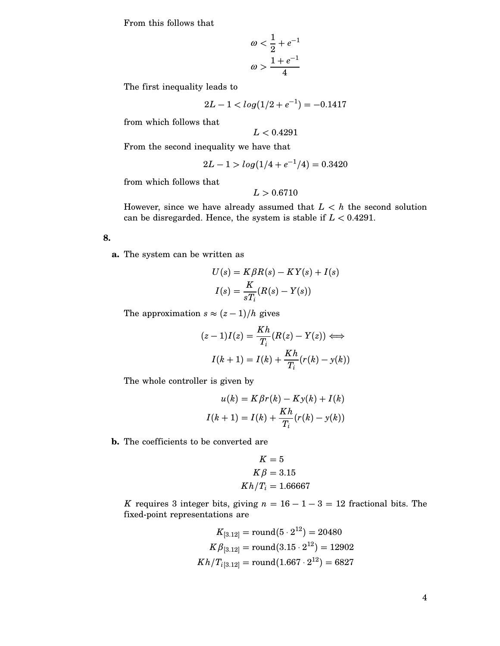From this follows that

$$
\omega < \frac{1}{2} + e^{-1}
$$
\n
$$
\omega > \frac{1 + e^{-1}}{4}
$$

The first inequality leads to

$$
2L-1
$$

from which follows that

$$
L<0.4291
$$

From the second inequality we have that

$$
2L - 1 > log(1/4 + e^{-1}/4) = 0.3420
$$

from which follows that

$$
L>0.6710
$$

However, since we have already assumed that  $L < h$  the second solution can be disregarded. Hence, the system is stable if *L* < 0.4291.

## **8.**

**a.** The system can be written as

$$
U(s) = K\beta R(s) - KY(s) + I(s)
$$

$$
I(s) = \frac{K}{sT_i}(R(s) - Y(s))
$$

The approximation  $s \approx (z-1)/h$  gives

$$
(z-1)I(z) = \frac{Kh}{T_i}(R(z) - Y(z)) \Longleftrightarrow
$$

$$
I(k+1) = I(k) + \frac{Kh}{T_i}(r(k) - y(k))
$$

The whole controller is given by

$$
u(k) = K\beta r(k) - Ky(k) + I(k)
$$

$$
I(k+1) = I(k) + \frac{Kh}{T_i}(r(k) - y(k))
$$

**b.** The coefficients to be converted are

$$
K = 5
$$
  
\n
$$
K\beta = 3.15
$$
  
\n
$$
Kh/T_i = 1.66667
$$

*K* requires 3 integer bits, giving  $n = 16 - 1 - 3 = 12$  fractional bits. The fixed-point representations are

$$
K_{[3.12]} = \text{round}(5 \cdot 2^{12}) = 20480
$$
\n
$$
K\beta_{[3.12]} = \text{round}(3.15 \cdot 2^{12}) = 12902
$$
\n
$$
Kh/T_{i[3.12]} = \text{round}(1.667 \cdot 2^{12}) = 6827
$$